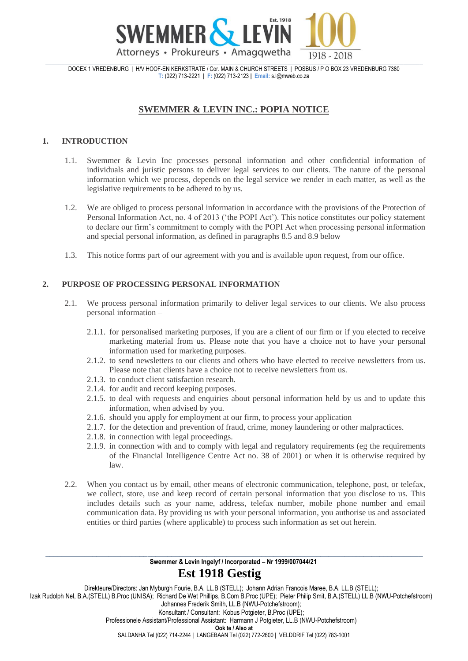

DOCEX 1 VREDENBURG | H/V HOOF-EN KERKSTRATE / Cor. MAIN & CHURCH STREETS | POSBUS / P O BOX 23 VREDENBURG 7380 **T:** (022) 713-2221 **| F:** (022) 713-2123 **| Email:** s.l@mweb.co.za

# **SWEMMER & LEVIN INC.: POPIA NOTICE**

## **1. INTRODUCTION**

- 1.1. Swemmer & Levin Inc processes personal information and other confidential information of individuals and juristic persons to deliver legal services to our clients. The nature of the personal information which we process, depends on the legal service we render in each matter, as well as the legislative requirements to be adhered to by us.
- 1.2. We are obliged to process personal information in accordance with the provisions of the Protection of Personal Information Act, no. 4 of 2013 ('the POPI Act'). This notice constitutes our policy statement to declare our firm's commitment to comply with the POPI Act when processing personal information and special personal information, as defined in paragraphs 8.5 and 8.9 below
- 1.3. This notice forms part of our agreement with you and is available upon request, from our office.

## **2. PURPOSE OF PROCESSING PERSONAL INFORMATION**

- 2.1. We process personal information primarily to deliver legal services to our clients. We also process personal information –
	- 2.1.1. for personalised marketing purposes, if you are a client of our firm or if you elected to receive marketing material from us. Please note that you have a choice not to have your personal information used for marketing purposes.
	- 2.1.2. to send newsletters to our clients and others who have elected to receive newsletters from us. Please note that clients have a choice not to receive newsletters from us.
	- 2.1.3. to conduct client satisfaction research.
	- 2.1.4. for audit and record keeping purposes.
	- 2.1.5. to deal with requests and enquiries about personal information held by us and to update this information, when advised by you.
	- 2.1.6. should you apply for employment at our firm, to process your application
	- 2.1.7. for the detection and prevention of fraud, crime, money laundering or other malpractices.
	- 2.1.8. in connection with legal proceedings.
	- 2.1.9. in connection with and to comply with legal and regulatory requirements (eg the requirements of the Financial Intelligence Centre Act no. 38 of 2001) or when it is otherwise required by law.
- 2.2. When you contact us by email, other means of electronic communication, telephone, post, or telefax, we collect, store, use and keep record of certain personal information that you disclose to us. This includes details such as your name, address, telefax number, mobile phone number and email communication data. By providing us with your personal information, you authorise us and associated entities or third parties (where applicable) to process such information as set out herein.

#### \_\_\_\_\_\_\_\_\_\_\_\_\_\_\_\_\_\_\_\_\_\_\_\_\_\_\_\_\_\_\_\_\_\_\_\_\_\_\_\_\_\_\_\_\_\_\_\_\_\_\_\_\_\_\_\_\_\_\_\_\_\_\_\_\_\_\_\_\_\_\_\_\_\_\_\_\_\_\_\_\_\_\_\_\_\_\_\_\_\_\_\_\_\_\_\_ **Swemmer & Levin Ingelyf / Incorporated – Nr 1999/007044/21 Est 1918 Gestig**

Direkteure/Directors: Jan Myburgh Fourie, B.A. LL.B (STELL); Johann Adrian Francois Maree, B.A. LL.B (STELL); Izak Rudolph Nel, B.A.(STELL) B.Proc (UNISA); Richard De Wet Phillips, B.Com B.Proc (UPE); Pieter Philip Smit, B.A.(STELL) LL.B (NWU-Potchefstroom) Johannes Frederik Smith, LL.B (NWU-Potchefstroom); Konsultant / Consultant: Kobus Potgieter, B.Proc (UPE); Professionele Assistant/Professional Assistant: Harmann J Potgieter, LL.B (NWU-Potchefstroom) **Ook te / Also at** SALDANHA Tel (022) 714-2244 **|** LANGEBAAN Tel (022) 772-2600 **|** VELDDRIF Tel (022) 783-1001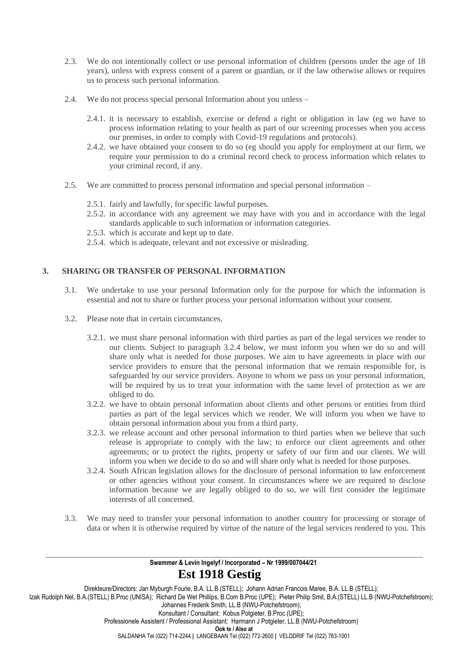- 2.3. We do not intentionally collect or use personal information of children (persons under the age of 18 years), unless with express consent of a parent or guardian, or if the law otherwise allows or requires us to process such personal information.
- 2.4. We do not process special personal Information about you unless
	- 2.4.1. it is necessary to establish, exercise or defend a right or obligation in law (eg we have to process information relating to your health as part of our screening processes when you access our premises, in order to comply with Covid-19 regulations and protocols).
	- 2.4.2. we have obtained your consent to do so (eg should you apply for employment at our firm, we require your permission to do a criminal record check to process information which relates to your criminal record, if any.
- 2.5. We are committed to process personal information and special personal information
	- 2.5.1. fairly and lawfully, for specific lawful purposes.
	- 2.5.2. in accordance with any agreement we may have with you and in accordance with the legal standards applicable to such information or information categories.
	- 2.5.3. which is accurate and kept up to date.
	- 2.5.4. which is adequate, relevant and not excessive or misleading.

## **3. SHARING OR TRANSFER OF PERSONAL INFORMATION**

- 3.1. We undertake to use your personal Information only for the purpose for which the information is essential and not to share or further process your personal information without your consent.
- 3.2. Please note that in certain circumstances,
	- 3.2.1. we must share personal information with third parties as part of the legal services we render to our clients. Subject to paragraph 3.2.4 below, we must inform you when we do so and will share only what is needed for those purposes. We aim to have agreements in place with our service providers to ensure that the personal information that we remain responsible for, is safeguarded by our service providers. Anyone to whom we pass on your personal information, will be required by us to treat your information with the same level of protection as we are obliged to do.
	- 3.2.2. we have to obtain personal information about clients and other persons or entities from third parties as part of the legal services which we render. We will inform you when we have to obtain personal information about you from a third party.
	- 3.2.3. we release account and other personal information to third parties when we believe that such release is appropriate to comply with the law; to enforce our client agreements and other agreements; or to protect the rights, property or safety of our firm and our clients. We will inform you when we decide to do so and will share only what is needed for those purposes.
	- 3.2.4. South African legislation allows for the disclosure of personal information to law enforcement or other agencies without your consent. In circumstances where we are required to disclose information because we are legally obliged to do so, we will first consider the legitimate interests of all concerned.
- 3.3. We may need to transfer your personal information to another country for processing or storage of data or when it is otherwise required by virtue of the nature of the legal services rendered to you. This

\_\_\_\_\_\_\_\_\_\_\_\_\_\_\_\_\_\_\_\_\_\_\_\_\_\_\_\_\_\_\_\_\_\_\_\_\_\_\_\_\_\_\_\_\_\_\_\_\_\_\_\_\_\_\_\_\_\_\_\_\_\_\_\_\_\_\_\_\_\_\_\_\_\_\_\_\_\_\_\_\_\_\_\_\_\_\_\_\_\_\_\_\_\_\_\_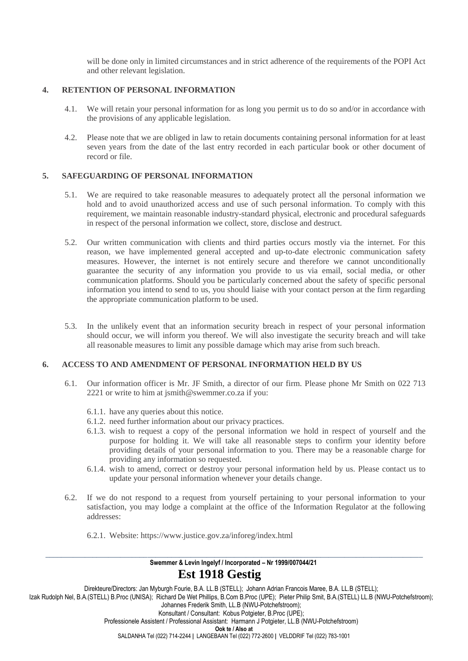will be done only in limited circumstances and in strict adherence of the requirements of the POPI Act and other relevant legislation.

### **4. RETENTION OF PERSONAL INFORMATION**

- 4.1. We will retain your personal information for as long you permit us to do so and/or in accordance with the provisions of any applicable legislation.
- 4.2. Please note that we are obliged in law to retain documents containing personal information for at least seven years from the date of the last entry recorded in each particular book or other document of record or file.

### **5. SAFEGUARDING OF PERSONAL INFORMATION**

- 5.1. We are required to take reasonable measures to adequately protect all the personal information we hold and to avoid unauthorized access and use of such personal information. To comply with this requirement, we maintain reasonable industry-standard physical, electronic and procedural safeguards in respect of the personal information we collect, store, disclose and destruct.
- 5.2. Our written communication with clients and third parties occurs mostly via the internet. For this reason, we have implemented general accepted and up-to-date electronic communication safety measures. However, the internet is not entirely secure and therefore we cannot unconditionally guarantee the security of any information you provide to us via email, social media, or other communication platforms. Should you be particularly concerned about the safety of specific personal information you intend to send to us, you should liaise with your contact person at the firm regarding the appropriate communication platform to be used.
- 5.3. In the unlikely event that an information security breach in respect of your personal information should occur, we will inform you thereof. We will also investigate the security breach and will take all reasonable measures to limit any possible damage which may arise from such breach.

### **6. ACCESS TO AND AMENDMENT OF PERSONAL INFORMATION HELD BY US**

- 6.1. Our information officer is Mr. JF Smith, a director of our firm. Please phone Mr Smith on 022 713 2221 or write to him at jsmith@swemmer.co.za if you:
	- 6.1.1. have any queries about this notice.
	- 6.1.2. need further information about our privacy practices.
	- 6.1.3. wish to request a copy of the personal information we hold in respect of yourself and the purpose for holding it. We will take all reasonable steps to confirm your identity before providing details of your personal information to you. There may be a reasonable charge for providing any information so requested.
	- 6.1.4. wish to amend, correct or destroy your personal information held by us. Please contact us to update your personal information whenever your details change.
- 6.2. If we do not respond to a request from yourself pertaining to your personal information to your satisfaction, you may lodge a complaint at the office of the Information Regulator at the following addresses:
	- 6.2.1. Website: https://www.justice.gov.za/inforeg/index.html

#### \_\_\_\_\_\_\_\_\_\_\_\_\_\_\_\_\_\_\_\_\_\_\_\_\_\_\_\_\_\_\_\_\_\_\_\_\_\_\_\_\_\_\_\_\_\_\_\_\_\_\_\_\_\_\_\_\_\_\_\_\_\_\_\_\_\_\_\_\_\_\_\_\_\_\_\_\_\_\_\_\_\_\_\_\_\_\_\_\_\_\_\_\_\_\_\_ **Swemmer & Levin Ingelyf / Incorporated – Nr 1999/007044/21 Est 1918 Gestig**

Direkteure/Directors: Jan Myburgh Fourie, B.A. LL.B (STELL); Johann Adrian Francois Maree, B.A. LL.B (STELL); Izak Rudolph Nel, B.A.(STELL) B.Proc (UNISA); Richard De Wet Phillips, B.Com B.Proc (UPE); Pieter Philip Smit, B.A.(STELL) LL.B (NWU-Potchefstroom); Johannes Frederik Smith, LL.B (NWU-Potchefstroom); Konsultant / Consultant: Kobus Potgieter, B.Proc (UPE); Professionele Assistent / Professional Assistant: Harmann J Potgieter, LL.B (NWU-Potchefstroom) **Ook te / Also at** SALDANHA Tel (022) 714-2244 **|** LANGEBAAN Tel (022) 772-2600 **|** VELDDRIF Tel (022) 783-1001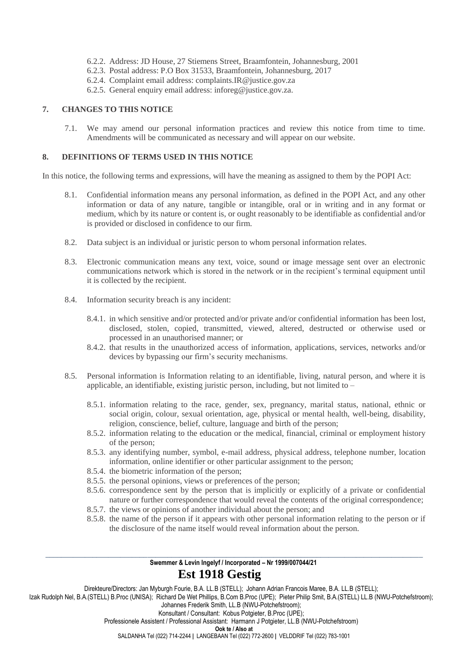- 6.2.2. Address: JD House, 27 Stiemens Street, Braamfontein, Johannesburg, 2001
- 6.2.3. Postal address: P.O Box 31533, Braamfontein, Johannesburg, 2017
- 6.2.4. Complaint email address: complaints.IR@justice.gov.za
- 6.2.5. General enquiry email address: inforeg@justice.gov.za.

### **7. CHANGES TO THIS NOTICE**

7.1. We may amend our personal information practices and review this notice from time to time. Amendments will be communicated as necessary and will appear on our website.

#### **8. DEFINITIONS OF TERMS USED IN THIS NOTICE**

In this notice, the following terms and expressions, will have the meaning as assigned to them by the POPI Act:

- 8.1. Confidential information means any personal information, as defined in the POPI Act, and any other information or data of any nature, tangible or intangible, oral or in writing and in any format or medium, which by its nature or content is, or ought reasonably to be identifiable as confidential and/or is provided or disclosed in confidence to our firm.
- 8.2. Data subject is an individual or juristic person to whom personal information relates.
- 8.3. Electronic communication means any text, voice, sound or image message sent over an electronic communications network which is stored in the network or in the recipient's terminal equipment until it is collected by the recipient.
- 8.4. Information security breach is any incident:
	- 8.4.1. in which sensitive and/or protected and/or private and/or confidential information has been lost, disclosed, stolen, copied, transmitted, viewed, altered, destructed or otherwise used or processed in an unauthorised manner; or
	- 8.4.2. that results in the unauthorized access of information, applications, services, networks and/or devices by bypassing our firm's security mechanisms.
- 8.5. Personal information is Information relating to an identifiable, living, natural person, and where it is applicable, an identifiable, existing juristic person, including, but not limited to –
	- 8.5.1. information relating to the race, gender, sex, pregnancy, marital status, national, ethnic or social origin, colour, sexual orientation, age, physical or mental health, well-being, disability, religion, conscience, belief, culture, language and birth of the person;
	- 8.5.2. information relating to the education or the medical, financial, criminal or employment history of the person;
	- 8.5.3. any identifying number, symbol, e-mail address, physical address, telephone number, location information, online identifier or other particular assignment to the person;
	- 8.5.4. the biometric information of the person;
	- 8.5.5. the personal opinions, views or preferences of the person;
	- 8.5.6. correspondence sent by the person that is implicitly or explicitly of a private or confidential nature or further correspondence that would reveal the contents of the original correspondence;
	- 8.5.7. the views or opinions of another individual about the person; and
	- 8.5.8. the name of the person if it appears with other personal information relating to the person or if the disclosure of the name itself would reveal information about the person.

#### \_\_\_\_\_\_\_\_\_\_\_\_\_\_\_\_\_\_\_\_\_\_\_\_\_\_\_\_\_\_\_\_\_\_\_\_\_\_\_\_\_\_\_\_\_\_\_\_\_\_\_\_\_\_\_\_\_\_\_\_\_\_\_\_\_\_\_\_\_\_\_\_\_\_\_\_\_\_\_\_\_\_\_\_\_\_\_\_\_\_\_\_\_\_\_\_ **Swemmer & Levin Ingelyf / Incorporated – Nr 1999/007044/21 Est 1918 Gestig**

Direkteure/Directors: Jan Myburgh Fourie, B.A. LL.B (STELL); Johann Adrian Francois Maree, B.A. LL.B (STELL);

Izak Rudolph Nel, B.A.(STELL) B.Proc (UNISA); Richard De Wet Phillips, B.Com B.Proc (UPE); Pieter Philip Smit, B.A.(STELL) LL.B (NWU-Potchefstroom); Johannes Frederik Smith, LL.B (NWU-Potchefstroom);

Konsultant / Consultant: Kobus Potgieter, B.Proc (UPE);

Professionele Assistent / Professional Assistant: Harmann J Potgieter, LL.B (NWU-Potchefstroom)

**Ook te / Also at**

SALDANHA Tel (022) 714-2244 **|** LANGEBAAN Tel (022) 772-2600 **|** VELDDRIF Tel (022) 783-1001